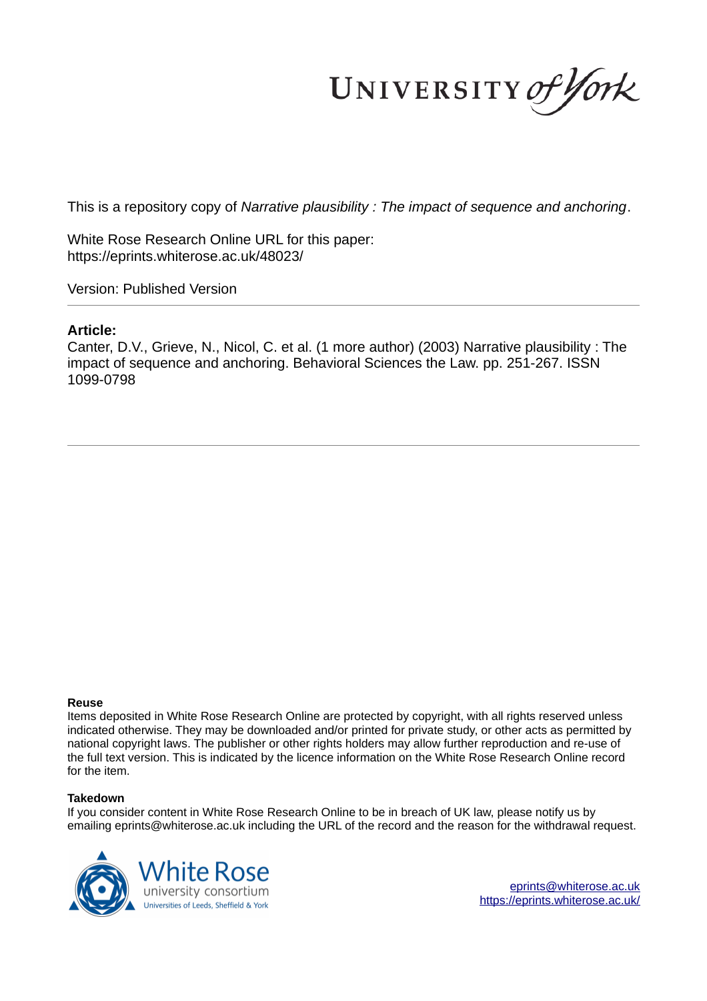UNIVERSITY of York

This is a repository copy of *Narrative plausibility : The impact of sequence and anchoring*.

White Rose Research Online URL for this paper: https://eprints.whiterose.ac.uk/48023/

Version: Published Version

# **Article:**

Canter, D.V., Grieve, N., Nicol, C. et al. (1 more author) (2003) Narrative plausibility : The impact of sequence and anchoring. Behavioral Sciences the Law. pp. 251-267. ISSN 1099-0798

# **Reuse**

Items deposited in White Rose Research Online are protected by copyright, with all rights reserved unless indicated otherwise. They may be downloaded and/or printed for private study, or other acts as permitted by national copyright laws. The publisher or other rights holders may allow further reproduction and re-use of the full text version. This is indicated by the licence information on the White Rose Research Online record for the item.

# **Takedown**

If you consider content in White Rose Research Online to be in breach of UK law, please notify us by emailing eprints@whiterose.ac.uk including the URL of the record and the reason for the withdrawal request.



eprints@whiterose.ac.uk https://eprints.whiterose.ac.uk/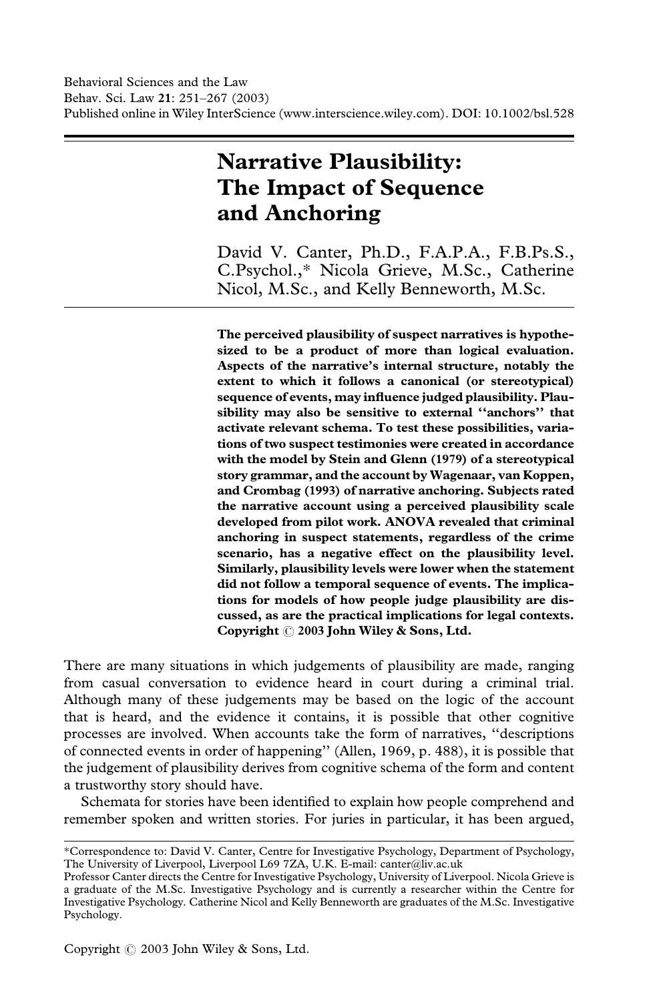# Narrative Plausibility: The Impact of Sequence and Anchoring

David V. Canter, Ph.D., F.A.P.A., F.B.Ps.S., C.Psychol.,\* Nicola Grieve, M.Sc., Catherine Nicol, M.Sc., and Kelly Benneworth, M.Sc.

The perceived plausibility of suspect narratives is hypothesized to be a product of more than logical evaluation. Aspects of the narrative's internal structure, notably the extent to which it follows a canonical (or stereotypical) sequence of events, may influence judged plausibility. Plausibility may also be sensitive to external ''anchors'' that activate relevant schema. To test these possibilities, variations of two suspect testimonies were created in accordance with the model by Stein and Glenn (1979) of a stereotypical story grammar, and the account by Wagenaar, van Koppen, and Crombag (1993) of narrative anchoring. Subjects rated the narrative account using a perceived plausibility scale developed from pilot work. ANOVA revealed that criminal anchoring in suspect statements, regardless of the crime scenario, has a negative effect on the plausibility level. Similarly, plausibility levels were lower when the statement did not follow a temporal sequence of events. The implications for models of how people judge plausibility are discussed, as are the practical implications for legal contexts. Copyright  $\odot$  2003 John Wiley & Sons, Ltd.

There are many situations in which judgements of plausibility are made, ranging from casual conversation to evidence heard in court during a criminal trial. Although many of these judgements may be based on the logic of the account that is heard, and the evidence it contains, it is possible that other cognitive processes are involved. When accounts take the form of narratives, ''descriptions of connected events in order of happening'' (Allen, 1969, p. 488), it is possible that the judgement of plausibility derives from cognitive schema of the form and content a trustworthy story should have.

Schemata for stories have been identified to explain how people comprehend and remember spoken and written stories. For juries in particular, it has been argued,

<sup>\*</sup>Correspondence to: David V. Canter, Centre for Investigative Psychology, Department of Psychology, The University of Liverpool, Liverpool L69 7ZA, U.K. E-mail: canter@liv.ac.uk

Professor Canter directs the Centre for Investigative Psychology, University of Liverpool. Nicola Grieve is a graduate of the M.Sc. Investigative Psychology and is currently a researcher within the Centre for Investigative Psychology. Catherine Nicol and Kelly Benneworth are graduates of the M.Sc. Investigative Psychology.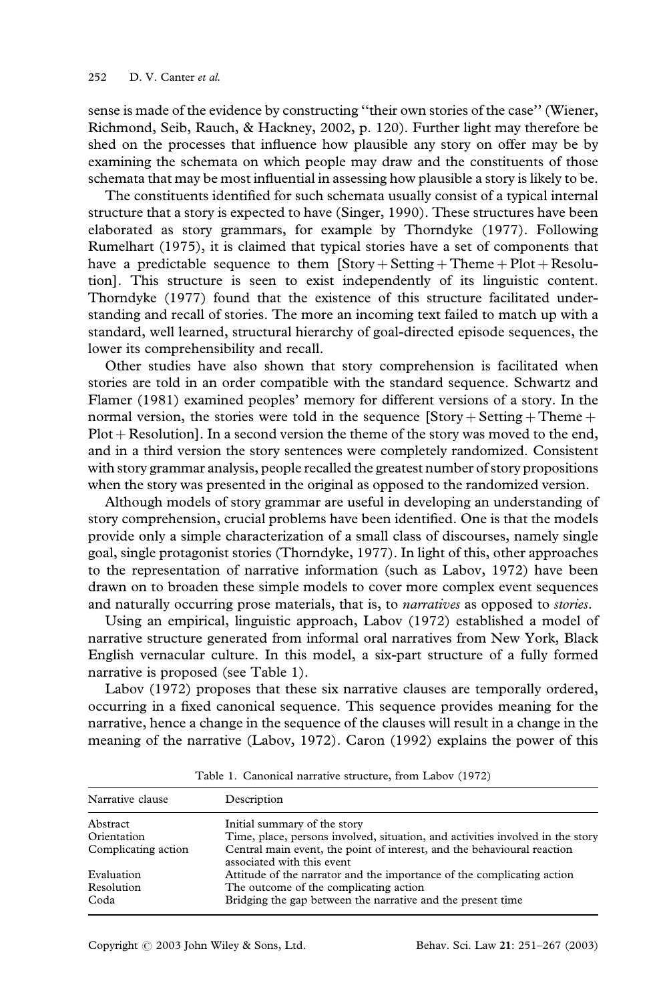sense is made of the evidence by constructing ''their own stories of the case'' (Wiener, Richmond, Seib, Rauch, & Hackney, 2002, p. 120). Further light may therefore be shed on the processes that influence how plausible any story on offer may be by examining the schemata on which people may draw and the constituents of those schemata that may be most influential in assessing how plausible a story is likely to be.

The constituents identified for such schemata usually consist of a typical internal structure that a story is expected to have (Singer, 1990). These structures have been elaborated as story grammars, for example by Thorndyke (1977). Following Rumelhart (1975), it is claimed that typical stories have a set of components that have a predictable sequence to them  $[Story + Setting + Theme + Plot + Resolu$ tion]. This structure is seen to exist independently of its linguistic content. Thorndyke (1977) found that the existence of this structure facilitated understanding and recall of stories. The more an incoming text failed to match up with a standard, well learned, structural hierarchy of goal-directed episode sequences, the lower its comprehensibility and recall.

Other studies have also shown that story comprehension is facilitated when stories are told in an order compatible with the standard sequence. Schwartz and Flamer (1981) examined peoples' memory for different versions of a story. In the normal version, the stories were told in the sequence  $[Story + Setting + Theme +]$  $Plot + Resolution$ . In a second version the theme of the story was moved to the end, and in a third version the story sentences were completely randomized. Consistent with story grammar analysis, people recalled the greatest number of story propositions when the story was presented in the original as opposed to the randomized version.

Although models of story grammar are useful in developing an understanding of story comprehension, crucial problems have been identified. One is that the models provide only a simple characterization of a small class of discourses, namely single goal, single protagonist stories (Thorndyke, 1977). In light of this, other approaches to the representation of narrative information (such as Labov, 1972) have been drawn on to broaden these simple models to cover more complex event sequences and naturally occurring prose materials, that is, to *narratives* as opposed to *stories*.

Using an empirical, linguistic approach, Labov (1972) established a model of narrative structure generated from informal oral narratives from New York, Black English vernacular culture. In this model, a six-part structure of a fully formed narrative is proposed (see Table 1).

Labov (1972) proposes that these six narrative clauses are temporally ordered, occurring in a fixed canonical sequence. This sequence provides meaning for the narrative, hence a change in the sequence of the clauses will result in a change in the meaning of the narrative (Labov, 1972). Caron (1992) explains the power of this

| Narrative clause    | Description                                                                                           |
|---------------------|-------------------------------------------------------------------------------------------------------|
| Abstract            | Initial summary of the story                                                                          |
| Orientation         | Time, place, persons involved, situation, and activities involved in the story                        |
| Complicating action | Central main event, the point of interest, and the behavioural reaction<br>associated with this event |
| Evaluation          | Attitude of the narrator and the importance of the complicating action                                |
| Resolution          | The outcome of the complicating action                                                                |
| Coda                | Bridging the gap between the narrative and the present time                                           |

Table 1. Canonical narrative structure, from Labov (1972)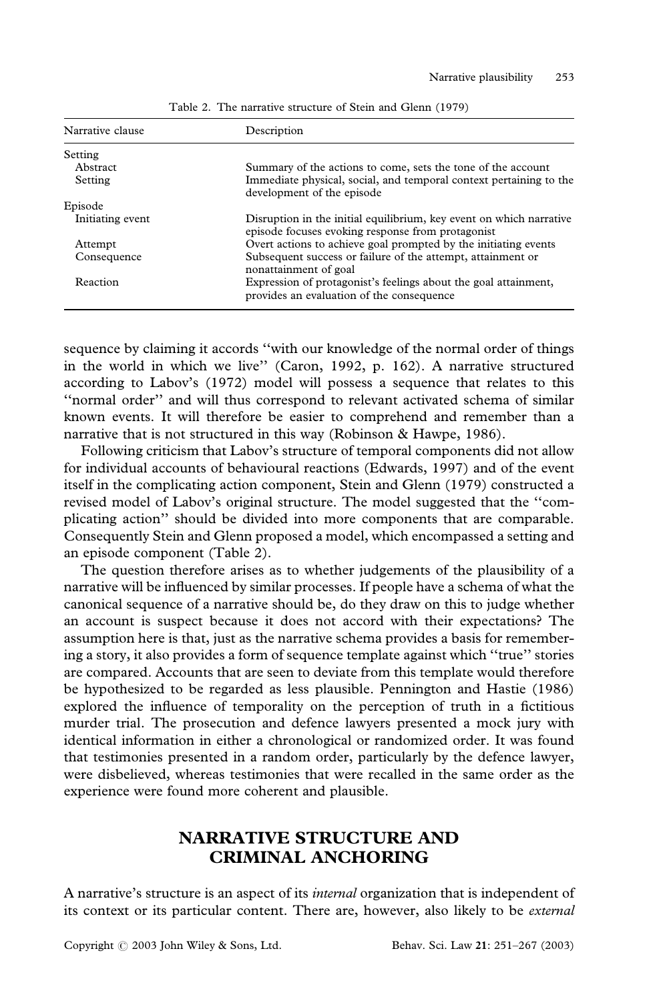| Narrative clause | Description                                                                                                              |
|------------------|--------------------------------------------------------------------------------------------------------------------------|
| Setting          |                                                                                                                          |
| Abstract         | Summary of the actions to come, sets the tone of the account                                                             |
| Setting          | Immediate physical, social, and temporal context pertaining to the<br>development of the episode                         |
| Episode          |                                                                                                                          |
| Initiating event | Disruption in the initial equilibrium, key event on which narrative<br>episode focuses evoking response from protagonist |
| Attempt          | Overt actions to achieve goal prompted by the initiating events                                                          |
| Consequence      | Subsequent success or failure of the attempt, attainment or<br>nonattainment of goal                                     |
| Reaction         | Expression of protagonist's feelings about the goal attainment,<br>provides an evaluation of the consequence             |

Table 2. The narrative structure of Stein and Glenn (1979)

sequence by claiming it accords ''with our knowledge of the normal order of things in the world in which we live'' (Caron, 1992, p. 162). A narrative structured according to Labov's (1972) model will possess a sequence that relates to this ''normal order'' and will thus correspond to relevant activated schema of similar known events. It will therefore be easier to comprehend and remember than a narrative that is not structured in this way (Robinson & Hawpe, 1986).

Following criticism that Labov's structure of temporal components did not allow for individual accounts of behavioural reactions (Edwards, 1997) and of the event itself in the complicating action component, Stein and Glenn (1979) constructed a revised model of Labov's original structure. The model suggested that the ''complicating action'' should be divided into more components that are comparable. Consequently Stein and Glenn proposed a model, which encompassed a setting and an episode component (Table 2).

The question therefore arises as to whether judgements of the plausibility of a narrative will be influenced by similar processes. If people have a schema of what the canonical sequence of a narrative should be, do they draw on this to judge whether an account is suspect because it does not accord with their expectations? The assumption here is that, just as the narrative schema provides a basis for remembering a story, it also provides a form of sequence template against which ''true'' stories are compared. Accounts that are seen to deviate from this template would therefore be hypothesized to be regarded as less plausible. Pennington and Hastie (1986) explored the influence of temporality on the perception of truth in a fictitious murder trial. The prosecution and defence lawyers presented a mock jury with identical information in either a chronological or randomized order. It was found that testimonies presented in a random order, particularly by the defence lawyer, were disbelieved, whereas testimonies that were recalled in the same order as the experience were found more coherent and plausible.

# NARRATIVE STRUCTURE AND CRIMINAL ANCHORING

A narrative's structure is an aspect of its *internal* organization that is independent of its context or its particular content. There are, however, also likely to be *external*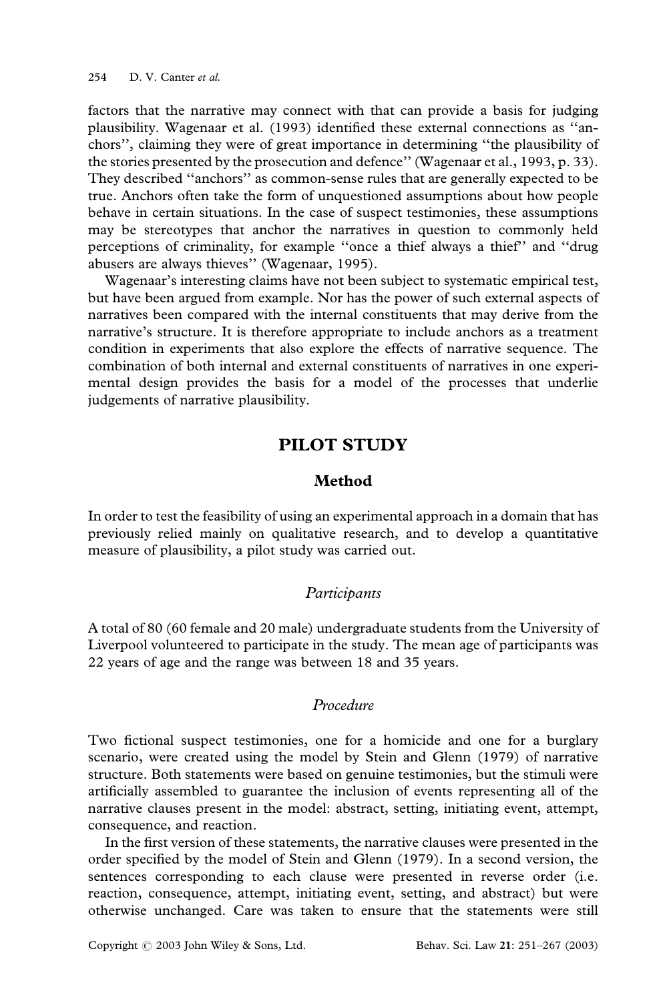factors that the narrative may connect with that can provide a basis for judging plausibility. Wagenaar et al. (1993) identified these external connections as ''anchors'', claiming they were of great importance in determining ''the plausibility of the stories presented by the prosecution and defence'' (Wagenaar et al., 1993, p. 33). They described ''anchors'' as common-sense rules that are generally expected to be true. Anchors often take the form of unquestioned assumptions about how people behave in certain situations. In the case of suspect testimonies, these assumptions may be stereotypes that anchor the narratives in question to commonly held perceptions of criminality, for example ''once a thief always a thief'' and ''drug abusers are always thieves'' (Wagenaar, 1995).

Wagenaar's interesting claims have not been subject to systematic empirical test, but have been argued from example. Nor has the power of such external aspects of narratives been compared with the internal constituents that may derive from the narrative's structure. It is therefore appropriate to include anchors as a treatment condition in experiments that also explore the effects of narrative sequence. The combination of both internal and external constituents of narratives in one experimental design provides the basis for a model of the processes that underlie judgements of narrative plausibility.

# PILOT STUDY

## Method

In order to test the feasibility of using an experimental approach in a domain that has previously relied mainly on qualitative research, and to develop a quantitative measure of plausibility, a pilot study was carried out.

# *Participants*

A total of 80 (60 female and 20 male) undergraduate students from the University of Liverpool volunteered to participate in the study. The mean age of participants was 22 years of age and the range was between 18 and 35 years.

## *Procedure*

Two fictional suspect testimonies, one for a homicide and one for a burglary scenario, were created using the model by Stein and Glenn (1979) of narrative structure. Both statements were based on genuine testimonies, but the stimuli were artificially assembled to guarantee the inclusion of events representing all of the narrative clauses present in the model: abstract, setting, initiating event, attempt, consequence, and reaction.

In the first version of these statements, the narrative clauses were presented in the order specified by the model of Stein and Glenn (1979). In a second version, the sentences corresponding to each clause were presented in reverse order (i.e. reaction, consequence, attempt, initiating event, setting, and abstract) but were otherwise unchanged. Care was taken to ensure that the statements were still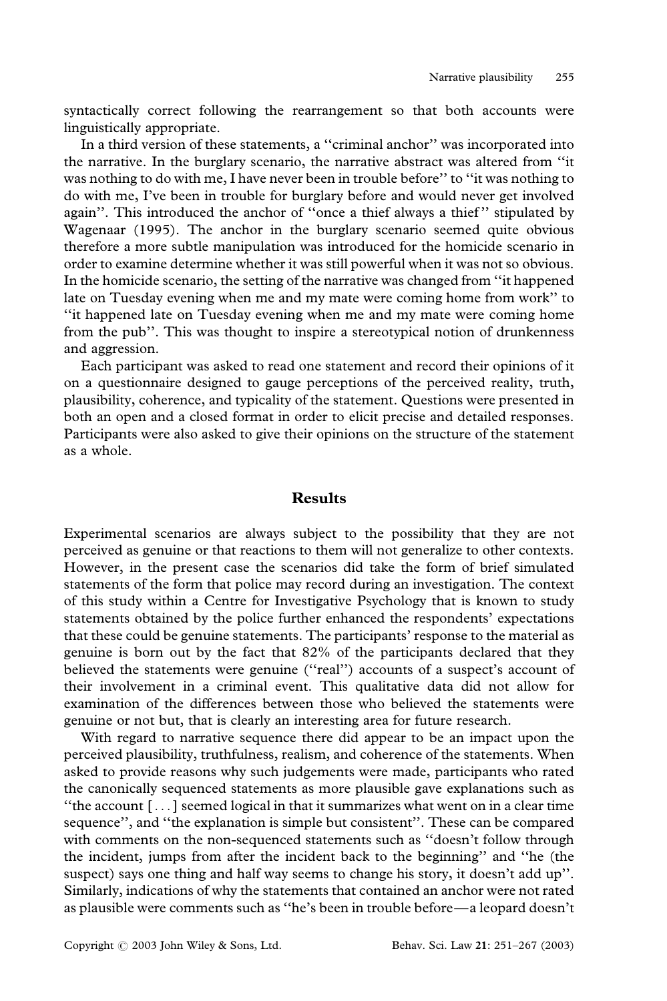syntactically correct following the rearrangement so that both accounts were linguistically appropriate.

In a third version of these statements, a ''criminal anchor'' was incorporated into the narrative. In the burglary scenario, the narrative abstract was altered from ''it was nothing to do with me, I have never been in trouble before'' to ''it was nothing to do with me, I've been in trouble for burglary before and would never get involved again''. This introduced the anchor of ''once a thief always a thief '' stipulated by Wagenaar (1995). The anchor in the burglary scenario seemed quite obvious therefore a more subtle manipulation was introduced for the homicide scenario in order to examine determine whether it was still powerful when it was not so obvious. In the homicide scenario, the setting of the narrative was changed from ''it happened late on Tuesday evening when me and my mate were coming home from work'' to ''it happened late on Tuesday evening when me and my mate were coming home from the pub''. This was thought to inspire a stereotypical notion of drunkenness and aggression.

Each participant was asked to read one statement and record their opinions of it on a questionnaire designed to gauge perceptions of the perceived reality, truth, plausibility, coherence, and typicality of the statement. Questions were presented in both an open and a closed format in order to elicit precise and detailed responses. Participants were also asked to give their opinions on the structure of the statement as a whole.

#### Results

Experimental scenarios are always subject to the possibility that they are not perceived as genuine or that reactions to them will not generalize to other contexts. However, in the present case the scenarios did take the form of brief simulated statements of the form that police may record during an investigation. The context of this study within a Centre for Investigative Psychology that is known to study statements obtained by the police further enhanced the respondents' expectations that these could be genuine statements. The participants' response to the material as genuine is born out by the fact that 82% of the participants declared that they believed the statements were genuine (''real'') accounts of a suspect's account of their involvement in a criminal event. This qualitative data did not allow for examination of the differences between those who believed the statements were genuine or not but, that is clearly an interesting area for future research.

With regard to narrative sequence there did appear to be an impact upon the perceived plausibility, truthfulness, realism, and coherence of the statements. When asked to provide reasons why such judgements were made, participants who rated the canonically sequenced statements as more plausible gave explanations such as "the account  $[\dots]$  seemed logical in that it summarizes what went on in a clear time sequence'', and ''the explanation is simple but consistent''. These can be compared with comments on the non-sequenced statements such as ''doesn't follow through the incident, jumps from after the incident back to the beginning'' and ''he (the suspect) says one thing and half way seems to change his story, it doesn't add up''. Similarly, indications of why the statements that contained an anchor were not rated as plausible were comments such as ''he's been in trouble before—a leopard doesn't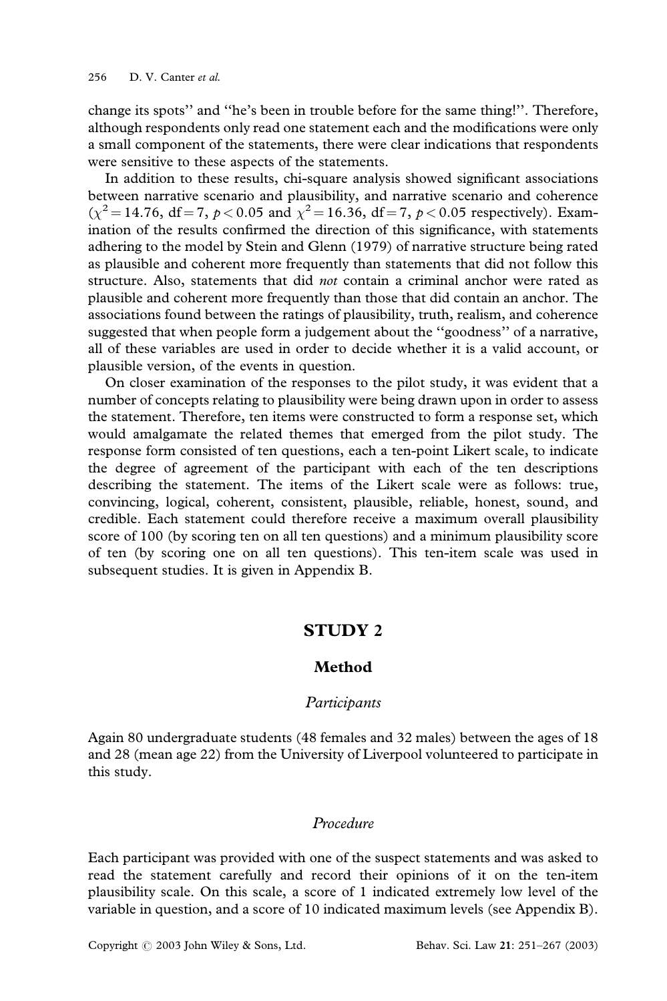change its spots'' and ''he's been in trouble before for the same thing!''. Therefore, although respondents only read one statement each and the modifications were only a small component of the statements, there were clear indications that respondents were sensitive to these aspects of the statements.

In addition to these results, chi-square analysis showed significant associations between narrative scenario and plausibility, and narrative scenario and coherence  $(\chi^2 = 14.76, df = 7, p < 0.05 \text{ and } \chi^2 = 16.36, df = 7, p < 0.05 \text{ respectively}).$  Examination of the results confirmed the direction of this significance, with statements adhering to the model by Stein and Glenn (1979) of narrative structure being rated as plausible and coherent more frequently than statements that did not follow this structure. Also, statements that did *not* contain a criminal anchor were rated as plausible and coherent more frequently than those that did contain an anchor. The associations found between the ratings of plausibility, truth, realism, and coherence suggested that when people form a judgement about the ''goodness'' of a narrative, all of these variables are used in order to decide whether it is a valid account, or plausible version, of the events in question.

On closer examination of the responses to the pilot study, it was evident that a number of concepts relating to plausibility were being drawn upon in order to assess the statement. Therefore, ten items were constructed to form a response set, which would amalgamate the related themes that emerged from the pilot study. The response form consisted of ten questions, each a ten-point Likert scale, to indicate the degree of agreement of the participant with each of the ten descriptions describing the statement. The items of the Likert scale were as follows: true, convincing, logical, coherent, consistent, plausible, reliable, honest, sound, and credible. Each statement could therefore receive a maximum overall plausibility score of 100 (by scoring ten on all ten questions) and a minimum plausibility score of ten (by scoring one on all ten questions). This ten-item scale was used in subsequent studies. It is given in Appendix B.

#### STUDY 2

#### Method

#### *Participants*

Again 80 undergraduate students (48 females and 32 males) between the ages of 18 and 28 (mean age 22) from the University of Liverpool volunteered to participate in this study.

#### *Procedure*

Each participant was provided with one of the suspect statements and was asked to read the statement carefully and record their opinions of it on the ten-item plausibility scale. On this scale, a score of 1 indicated extremely low level of the variable in question, and a score of 10 indicated maximum levels (see Appendix B).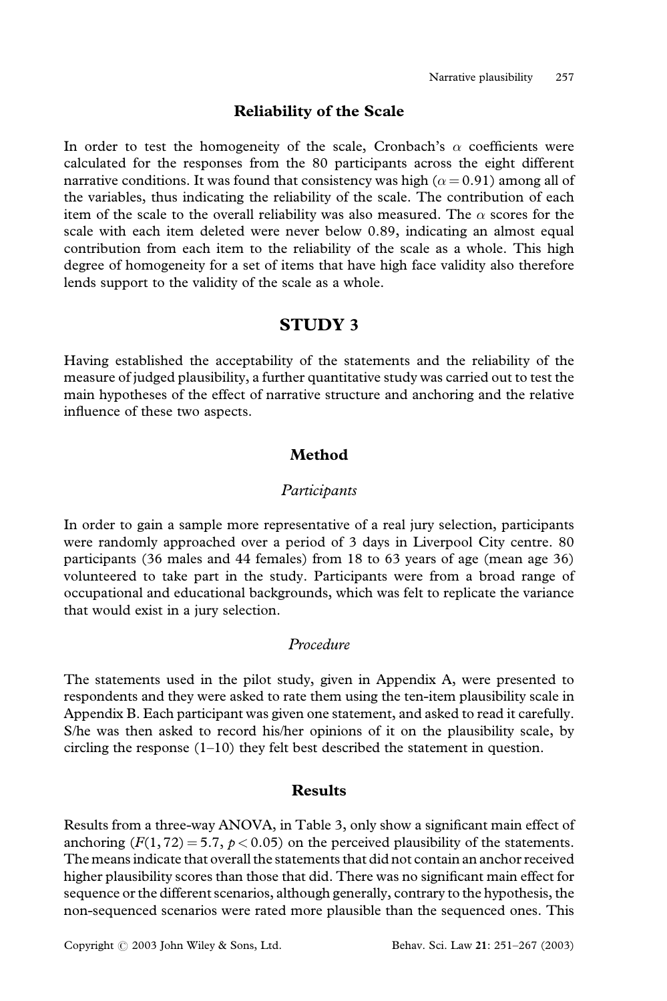#### Reliability of the Scale

In order to test the homogeneity of the scale, Cronbach's  $\alpha$  coefficients were calculated for the responses from the 80 participants across the eight different narrative conditions. It was found that consistency was high ( $\alpha$  = 0.91) among all of the variables, thus indicating the reliability of the scale. The contribution of each item of the scale to the overall reliability was also measured. The  $\alpha$  scores for the scale with each item deleted were never below 0.89, indicating an almost equal contribution from each item to the reliability of the scale as a whole. This high degree of homogeneity for a set of items that have high face validity also therefore lends support to the validity of the scale as a whole.

# STUDY 3

Having established the acceptability of the statements and the reliability of the measure of judged plausibility, a further quantitative study was carried out to test the main hypotheses of the effect of narrative structure and anchoring and the relative influence of these two aspects.

## Method

#### *Participants*

In order to gain a sample more representative of a real jury selection, participants were randomly approached over a period of 3 days in Liverpool City centre. 80 participants (36 males and 44 females) from 18 to 63 years of age (mean age 36) volunteered to take part in the study. Participants were from a broad range of occupational and educational backgrounds, which was felt to replicate the variance that would exist in a jury selection.

#### *Procedure*

The statements used in the pilot study, given in Appendix A, were presented to respondents and they were asked to rate them using the ten-item plausibility scale in Appendix B. Each participant was given one statement, and asked to read it carefully. S/he was then asked to record his/her opinions of it on the plausibility scale, by circling the response (1–10) they felt best described the statement in question.

#### Results

Results from a three-way ANOVA, in Table 3, only show a significant main effect of anchoring  $(F(1, 72) = 5.7, p < 0.05)$  on the perceived plausibility of the statements. The means indicate that overall the statements that did not contain an anchor received higher plausibility scores than those that did. There was no significant main effect for sequence or the different scenarios, although generally, contrary to the hypothesis, the non-sequenced scenarios were rated more plausible than the sequenced ones. This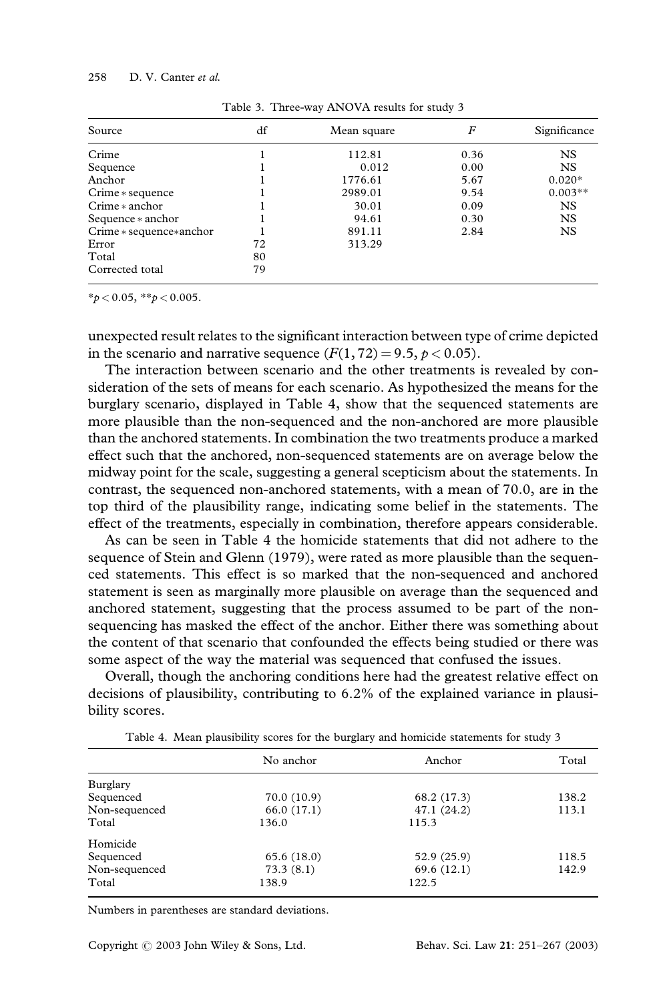#### 258 D. V. Canter *et al.*

| Source                    | df | Mean square | F    | Significance |
|---------------------------|----|-------------|------|--------------|
| Crime                     |    | 112.81      | 0.36 | <b>NS</b>    |
| Sequence                  |    | 0.012       | 0.00 | <b>NS</b>    |
| Anchor                    |    | 1776.61     | 5.67 | $0.020*$     |
| $C$ rime $*$ sequence     |    | 2989.01     | 9.54 | $0.003**$    |
| $C$ rime $*$ anchor       |    | 30.01       | 0.09 | <b>NS</b>    |
| Sequence * anchor         |    | 94.61       | 0.30 | <b>NS</b>    |
| Crime * sequence * anchor |    | 891.11      | 2.84 | <b>NS</b>    |
| Error                     | 72 | 313.29      |      |              |
| Total                     | 80 |             |      |              |
| Corrected total           | 79 |             |      |              |

Table 3. Three-way ANOVA results for study 3

 $*_{p}$  < 0.05,  $*_{p}$  < 0.005.

unexpected result relates to the significant interaction between type of crime depicted in the scenario and narrative sequence  $(F(1, 72) = 9.5, p < 0.05)$ .

The interaction between scenario and the other treatments is revealed by consideration of the sets of means for each scenario. As hypothesized the means for the burglary scenario, displayed in Table 4, show that the sequenced statements are more plausible than the non-sequenced and the non-anchored are more plausible than the anchored statements. In combination the two treatments produce a marked effect such that the anchored, non-sequenced statements are on average below the midway point for the scale, suggesting a general scepticism about the statements. In contrast, the sequenced non-anchored statements, with a mean of 70.0, are in the top third of the plausibility range, indicating some belief in the statements. The effect of the treatments, especially in combination, therefore appears considerable.

As can be seen in Table 4 the homicide statements that did not adhere to the sequence of Stein and Glenn (1979), were rated as more plausible than the sequenced statements. This effect is so marked that the non-sequenced and anchored statement is seen as marginally more plausible on average than the sequenced and anchored statement, suggesting that the process assumed to be part of the nonsequencing has masked the effect of the anchor. Either there was something about the content of that scenario that confounded the effects being studied or there was some aspect of the way the material was sequenced that confused the issues.

Overall, though the anchoring conditions here had the greatest relative effect on decisions of plausibility, contributing to 6.2% of the explained variance in plausibility scores.

|               | No anchor  | Anchor      | Total |  |  |  |  |  |
|---------------|------------|-------------|-------|--|--|--|--|--|
| Burglary      |            |             |       |  |  |  |  |  |
| Sequenced     | 70.0(10.9) | 68.2 (17.3) | 138.2 |  |  |  |  |  |
| Non-sequenced | 66.0(17.1) | 47.1 (24.2) | 113.1 |  |  |  |  |  |
| Total         | 136.0      | 115.3       |       |  |  |  |  |  |
| Homicide      |            |             |       |  |  |  |  |  |
| Sequenced     | 65.6(18.0) | 52.9 (25.9) | 118.5 |  |  |  |  |  |
| Non-sequenced | 73.3(8.1)  | 69.6(12.1)  | 142.9 |  |  |  |  |  |
| Total         | 138.9      | 122.5       |       |  |  |  |  |  |

Table 4. Mean plausibility scores for the burglary and homicide statements for study 3

Numbers in parentheses are standard deviations.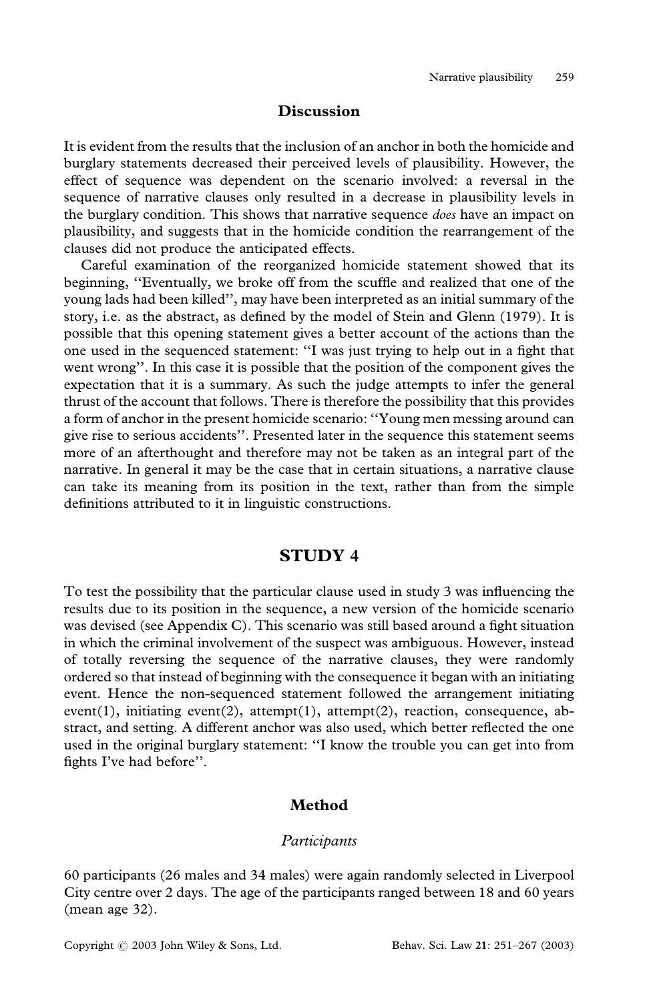#### **Discussion**

It is evident from the results that the inclusion of an anchor in both the homicide and burglary statements decreased their perceived levels of plausibility. However, the effect of sequence was dependent on the scenario involved: a reversal in the sequence of narrative clauses only resulted in a decrease in plausibility levels in the burglary condition. This shows that narrative sequence *does* have an impact on plausibility, and suggests that in the homicide condition the rearrangement of the clauses did not produce the anticipated effects.

Careful examination of the reorganized homicide statement showed that its beginning, ''Eventually, we broke off from the scuffle and realized that one of the young lads had been killed'', may have been interpreted as an initial summary of the story, i.e. as the abstract, as defined by the model of Stein and Glenn (1979). It is possible that this opening statement gives a better account of the actions than the one used in the sequenced statement: ''I was just trying to help out in a fight that went wrong''. In this case it is possible that the position of the component gives the expectation that it is a summary. As such the judge attempts to infer the general thrust of the account that follows. There is therefore the possibility that this provides a form of anchor in the present homicide scenario: ''Young men messing around can give rise to serious accidents''. Presented later in the sequence this statement seems more of an afterthought and therefore may not be taken as an integral part of the narrative. In general it may be the case that in certain situations, a narrative clause can take its meaning from its position in the text, rather than from the simple definitions attributed to it in linguistic constructions.

# STUDY 4

To test the possibility that the particular clause used in study 3 was influencing the results due to its position in the sequence, a new version of the homicide scenario was devised (see Appendix C). This scenario was still based around a fight situation in which the criminal involvement of the suspect was ambiguous. However, instead of totally reversing the sequence of the narrative clauses, they were randomly ordered so that instead of beginning with the consequence it began with an initiating event. Hence the non-sequenced statement followed the arrangement initiating event(1), initiating event(2), attempt(1), attempt(2), reaction, consequence, abstract, and setting. A different anchor was also used, which better reflected the one used in the original burglary statement: ''I know the trouble you can get into from fights I've had before''.

#### Method

#### *Participants*

60 participants (26 males and 34 males) were again randomly selected in Liverpool City centre over 2 days. The age of the participants ranged between 18 and 60 years (mean age 32).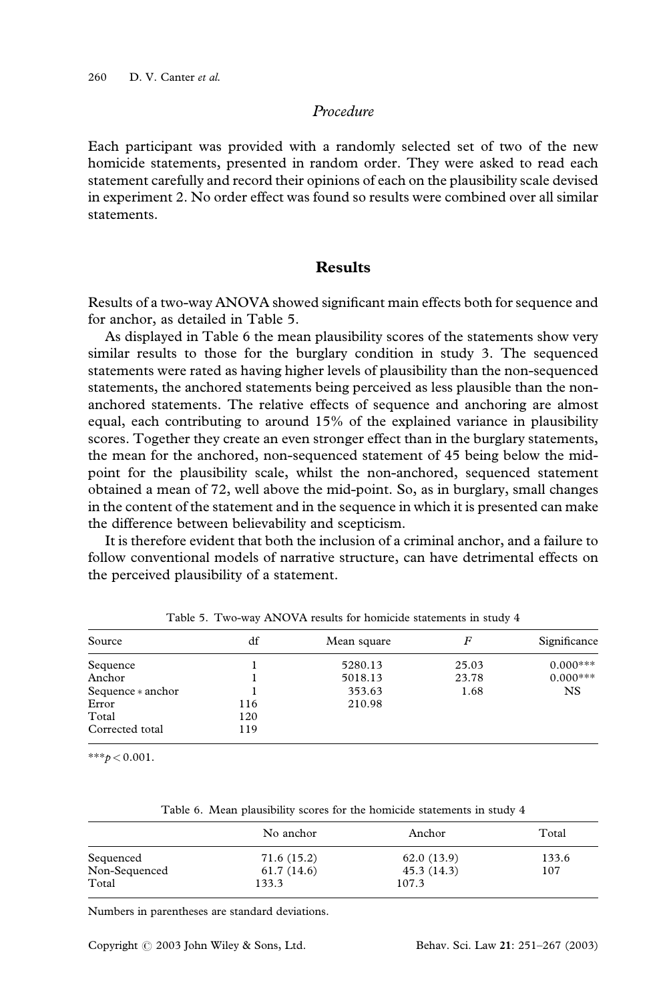#### *Procedure*

Each participant was provided with a randomly selected set of two of the new homicide statements, presented in random order. They were asked to read each statement carefully and record their opinions of each on the plausibility scale devised in experiment 2. No order effect was found so results were combined over all similar statements.

#### Results

Results of a two-way ANOVA showed significant main effects both for sequence and for anchor, as detailed in Table 5.

As displayed in Table 6 the mean plausibility scores of the statements show very similar results to those for the burglary condition in study 3. The sequenced statements were rated as having higher levels of plausibility than the non-sequenced statements, the anchored statements being perceived as less plausible than the nonanchored statements. The relative effects of sequence and anchoring are almost equal, each contributing to around 15% of the explained variance in plausibility scores. Together they create an even stronger effect than in the burglary statements, the mean for the anchored, non-sequenced statement of 45 being below the midpoint for the plausibility scale, whilst the non-anchored, sequenced statement obtained a mean of 72, well above the mid-point. So, as in burglary, small changes in the content of the statement and in the sequence in which it is presented can make the difference between believability and scepticism.

It is therefore evident that both the inclusion of a criminal anchor, and a failure to follow conventional models of narrative structure, can have detrimental effects on the perceived plausibility of a statement.

| Source              | df  | Mean square | F     | Significance |
|---------------------|-----|-------------|-------|--------------|
| Sequence            |     | 5280.13     | 25.03 | $0.000***$   |
| Anchor              |     | 5018.13     | 23.78 | $0.000***$   |
| Sequence $*$ anchor |     | 353.63      | 1.68  | NS.          |
| Error               | 116 | 210.98      |       |              |
| Total               | 120 |             |       |              |
| Corrected total     | 119 |             |       |              |

Table 5. Two-way ANOVA results for homicide statements in study 4

\*\*\**p* < 0.001.

|  |  | Table 6. Mean plausibility scores for the homicide statements in study 4 |  |  |  |  |  |  |  |  |
|--|--|--------------------------------------------------------------------------|--|--|--|--|--|--|--|--|
|--|--|--------------------------------------------------------------------------|--|--|--|--|--|--|--|--|

|                            | No anchor                | Anchor                   | Total        |
|----------------------------|--------------------------|--------------------------|--------------|
| Sequenced<br>Non-Sequenced | 71.6(15.2)<br>61.7(14.6) | 62.0(13.9)<br>45.3(14.3) | 133.6<br>107 |
| Total                      | 133.3                    | 107.3                    |              |

Numbers in parentheses are standard deviations.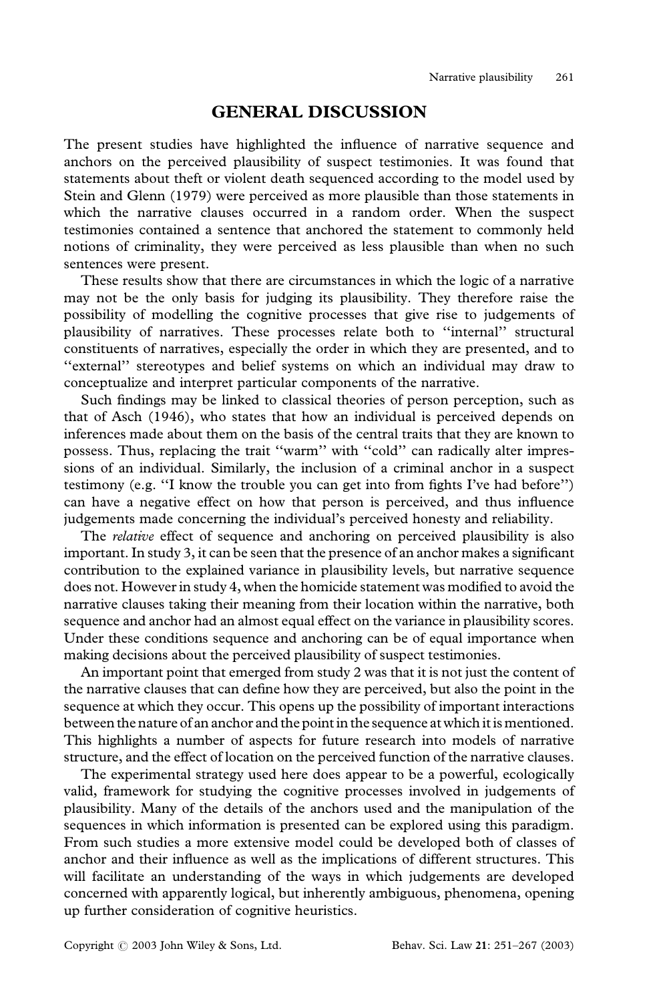# GENERAL DISCUSSION

The present studies have highlighted the influence of narrative sequence and anchors on the perceived plausibility of suspect testimonies. It was found that statements about theft or violent death sequenced according to the model used by Stein and Glenn (1979) were perceived as more plausible than those statements in which the narrative clauses occurred in a random order. When the suspect testimonies contained a sentence that anchored the statement to commonly held notions of criminality, they were perceived as less plausible than when no such sentences were present.

These results show that there are circumstances in which the logic of a narrative may not be the only basis for judging its plausibility. They therefore raise the possibility of modelling the cognitive processes that give rise to judgements of plausibility of narratives. These processes relate both to ''internal'' structural constituents of narratives, especially the order in which they are presented, and to ''external'' stereotypes and belief systems on which an individual may draw to conceptualize and interpret particular components of the narrative.

Such findings may be linked to classical theories of person perception, such as that of Asch (1946), who states that how an individual is perceived depends on inferences made about them on the basis of the central traits that they are known to possess. Thus, replacing the trait ''warm'' with ''cold'' can radically alter impressions of an individual. Similarly, the inclusion of a criminal anchor in a suspect testimony (e.g. ''I know the trouble you can get into from fights I've had before'') can have a negative effect on how that person is perceived, and thus influence judgements made concerning the individual's perceived honesty and reliability.

The *relative* effect of sequence and anchoring on perceived plausibility is also important. In study 3, it can be seen that the presence of an anchor makes a significant contribution to the explained variance in plausibility levels, but narrative sequence does not. However in study 4, when the homicide statement was modified to avoid the narrative clauses taking their meaning from their location within the narrative, both sequence and anchor had an almost equal effect on the variance in plausibility scores. Under these conditions sequence and anchoring can be of equal importance when making decisions about the perceived plausibility of suspect testimonies.

An important point that emerged from study 2 was that it is not just the content of the narrative clauses that can define how they are perceived, but also the point in the sequence at which they occur. This opens up the possibility of important interactions between the nature of an anchor and the point in the sequence at which it is mentioned. This highlights a number of aspects for future research into models of narrative structure, and the effect of location on the perceived function of the narrative clauses.

The experimental strategy used here does appear to be a powerful, ecologically valid, framework for studying the cognitive processes involved in judgements of plausibility. Many of the details of the anchors used and the manipulation of the sequences in which information is presented can be explored using this paradigm. From such studies a more extensive model could be developed both of classes of anchor and their influence as well as the implications of different structures. This will facilitate an understanding of the ways in which judgements are developed concerned with apparently logical, but inherently ambiguous, phenomena, opening up further consideration of cognitive heuristics.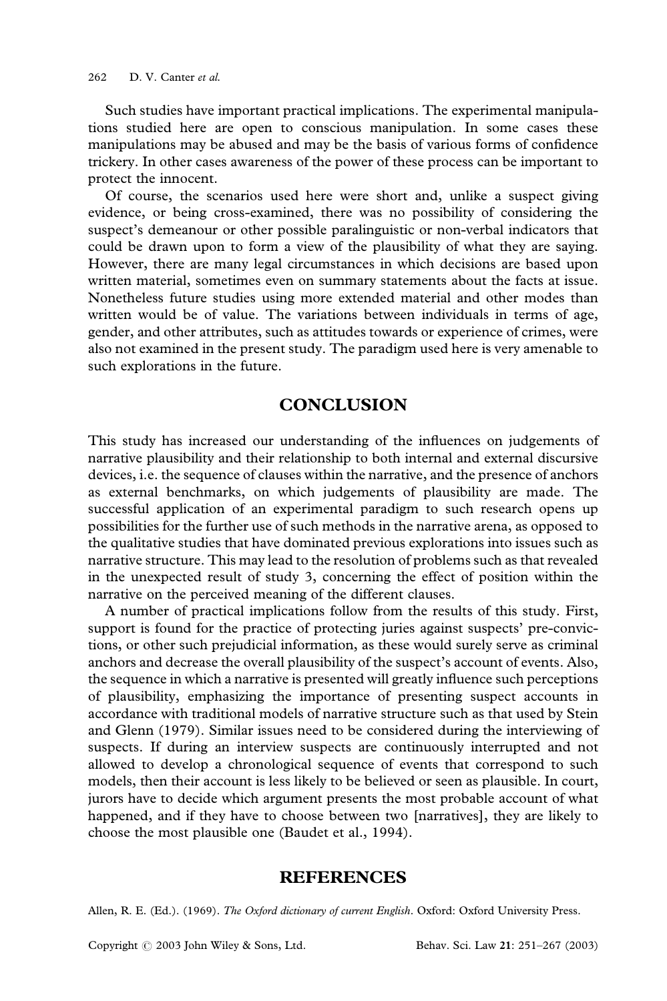Such studies have important practical implications. The experimental manipulations studied here are open to conscious manipulation. In some cases these manipulations may be abused and may be the basis of various forms of confidence trickery. In other cases awareness of the power of these process can be important to protect the innocent.

Of course, the scenarios used here were short and, unlike a suspect giving evidence, or being cross-examined, there was no possibility of considering the suspect's demeanour or other possible paralinguistic or non-verbal indicators that could be drawn upon to form a view of the plausibility of what they are saying. However, there are many legal circumstances in which decisions are based upon written material, sometimes even on summary statements about the facts at issue. Nonetheless future studies using more extended material and other modes than written would be of value. The variations between individuals in terms of age, gender, and other attributes, such as attitudes towards or experience of crimes, were also not examined in the present study. The paradigm used here is very amenable to such explorations in the future.

# **CONCLUSION**

This study has increased our understanding of the influences on judgements of narrative plausibility and their relationship to both internal and external discursive devices, i.e. the sequence of clauses within the narrative, and the presence of anchors as external benchmarks, on which judgements of plausibility are made. The successful application of an experimental paradigm to such research opens up possibilities for the further use of such methods in the narrative arena, as opposed to the qualitative studies that have dominated previous explorations into issues such as narrative structure. This may lead to the resolution of problems such as that revealed in the unexpected result of study 3, concerning the effect of position within the narrative on the perceived meaning of the different clauses.

A number of practical implications follow from the results of this study. First, support is found for the practice of protecting juries against suspects' pre-convictions, or other such prejudicial information, as these would surely serve as criminal anchors and decrease the overall plausibility of the suspect's account of events. Also, the sequence in which a narrative is presented will greatly influence such perceptions of plausibility, emphasizing the importance of presenting suspect accounts in accordance with traditional models of narrative structure such as that used by Stein and Glenn (1979). Similar issues need to be considered during the interviewing of suspects. If during an interview suspects are continuously interrupted and not allowed to develop a chronological sequence of events that correspond to such models, then their account is less likely to be believed or seen as plausible. In court, jurors have to decide which argument presents the most probable account of what happened, and if they have to choose between two [narratives], they are likely to choose the most plausible one (Baudet et al., 1994).

### REFERENCES

Allen, R. E. (Ed.). (1969). *The Oxford dictionary of current English*. Oxford: Oxford University Press.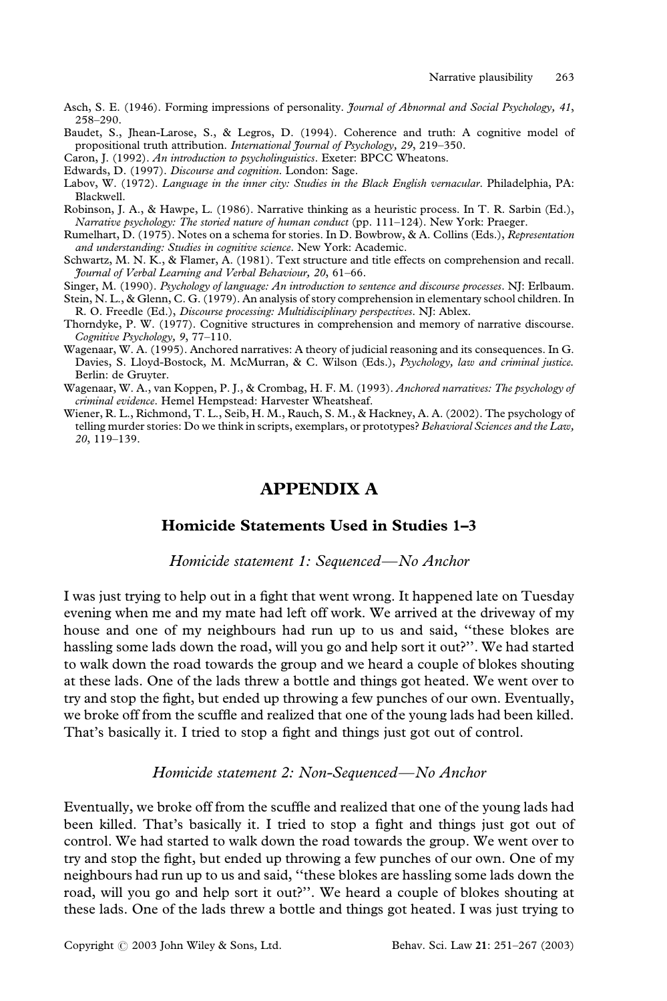- Asch, S. E. (1946). Forming impressions of personality. *Journal of Abnormal and Social Psychology, 41*, 258–290.
- Baudet, S., Jhean-Larose, S., & Legros, D. (1994). Coherence and truth: A cognitive model of propositional truth attribution. *International Journal of Psychology, 29*, 219–350.
- Caron, J. (1992). *An introduction to psycholinguistics*. Exeter: BPCC Wheatons.
- Edwards, D. (1997). *Discourse and cognition*. London: Sage.
- Labov, W. (1972). *Language in the inner city: Studies in the Black English vernacular*. Philadelphia, PA: Blackwell.
- Robinson, J. A., & Hawpe, L. (1986). Narrative thinking as a heuristic process. In T. R. Sarbin (Ed.), *Narrative psychology: The storied nature of human conduct* (pp. 111–124). New York: Praeger.
- Rumelhart, D. (1975). Notes on a schema for stories. In D. Bowbrow, & A. Collins (Eds.), *Representation and understanding: Studies in cognitive science*. New York: Academic.
- Schwartz, M. N. K., & Flamer, A. (1981). Text structure and title effects on comprehension and recall. *Journal of Verbal Learning and Verbal Behaviour, 20*, 61–66.
- Singer, M. (1990). *Psychology of language: An introduction to sentence and discourse processes*. NJ: Erlbaum.
- Stein, N. L., & Glenn, C. G. (1979). An analysis of story comprehension in elementary school children. In R. O. Freedle (Ed.), *Discourse processing: Multidisciplinary perspectives*. NJ: Ablex.
- Thorndyke, P. W. (1977). Cognitive structures in comprehension and memory of narrative discourse. *Cognitive Psychology, 9*, 77–110.
- Wagenaar, W. A. (1995). Anchored narratives: A theory of judicial reasoning and its consequences. In G. Davies, S. Lloyd-Bostock, M. McMurran, & C. Wilson (Eds.), *Psychology, law and criminal justice.* Berlin: de Gruyter.
- Wagenaar, W. A., van Koppen, P. J., & Crombag, H. F. M. (1993). *Anchored narratives: The psychology of criminal evidence*. Hemel Hempstead: Harvester Wheatsheaf.
- Wiener, R. L., Richmond, T. L., Seib, H. M., Rauch, S. M., & Hackney, A. A. (2002). The psychology of telling murder stories: Do we think in scripts, exemplars, or prototypes? *Behavioral Sciences and the Law, 20*, 119–139.

# APPENDIX A

## Homicide Statements Used in Studies 1–3

*Homicide statement 1: Sequenced—No Anchor*

I was just trying to help out in a fight that went wrong. It happened late on Tuesday evening when me and my mate had left off work. We arrived at the driveway of my house and one of my neighbours had run up to us and said, ''these blokes are hassling some lads down the road, will you go and help sort it out?''. We had started to walk down the road towards the group and we heard a couple of blokes shouting at these lads. One of the lads threw a bottle and things got heated. We went over to try and stop the fight, but ended up throwing a few punches of our own. Eventually, we broke off from the scuffle and realized that one of the young lads had been killed. That's basically it. I tried to stop a fight and things just got out of control.

#### *Homicide statement 2: Non-Sequenced—No Anchor*

Eventually, we broke off from the scuffle and realized that one of the young lads had been killed. That's basically it. I tried to stop a fight and things just got out of control. We had started to walk down the road towards the group. We went over to try and stop the fight, but ended up throwing a few punches of our own. One of my neighbours had run up to us and said, ''these blokes are hassling some lads down the road, will you go and help sort it out?''. We heard a couple of blokes shouting at these lads. One of the lads threw a bottle and things got heated. I was just trying to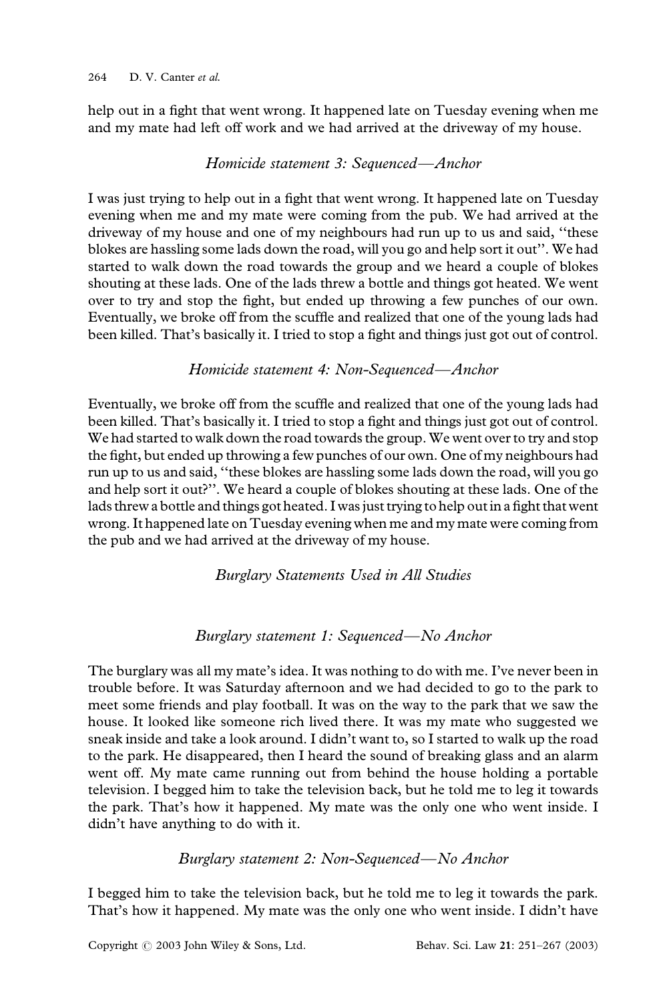help out in a fight that went wrong. It happened late on Tuesday evening when me and my mate had left off work and we had arrived at the driveway of my house.

# *Homicide statement 3: Sequenced—Anchor*

I was just trying to help out in a fight that went wrong. It happened late on Tuesday evening when me and my mate were coming from the pub. We had arrived at the driveway of my house and one of my neighbours had run up to us and said, ''these blokes are hassling some lads down the road, will you go and help sort it out''. We had started to walk down the road towards the group and we heard a couple of blokes shouting at these lads. One of the lads threw a bottle and things got heated. We went over to try and stop the fight, but ended up throwing a few punches of our own. Eventually, we broke off from the scuffle and realized that one of the young lads had been killed. That's basically it. I tried to stop a fight and things just got out of control.

# *Homicide statement 4: Non-Sequenced—Anchor*

Eventually, we broke off from the scuffle and realized that one of the young lads had been killed. That's basically it. I tried to stop a fight and things just got out of control. We had started to walk down the road towards the group. We went over to try and stop the fight, but ended up throwing a few punches of our own. One of my neighbours had run up to us and said, ''these blokes are hassling some lads down the road, will you go and help sort it out?''. We heard a couple of blokes shouting at these lads. One of the lads threw a bottle and things got heated. I was just trying to help out in a fight that went wrong. It happened late on Tuesday evening when me and my mate were coming from the pub and we had arrived at the driveway of my house.

# *Burglary Statements Used in All Studies*

# *Burglary statement 1: Sequenced—No Anchor*

The burglary was all my mate's idea. It was nothing to do with me. I've never been in trouble before. It was Saturday afternoon and we had decided to go to the park to meet some friends and play football. It was on the way to the park that we saw the house. It looked like someone rich lived there. It was my mate who suggested we sneak inside and take a look around. I didn't want to, so I started to walk up the road to the park. He disappeared, then I heard the sound of breaking glass and an alarm went off. My mate came running out from behind the house holding a portable television. I begged him to take the television back, but he told me to leg it towards the park. That's how it happened. My mate was the only one who went inside. I didn't have anything to do with it.

# *Burglary statement 2: Non-Sequenced—No Anchor*

I begged him to take the television back, but he told me to leg it towards the park. That's how it happened. My mate was the only one who went inside. I didn't have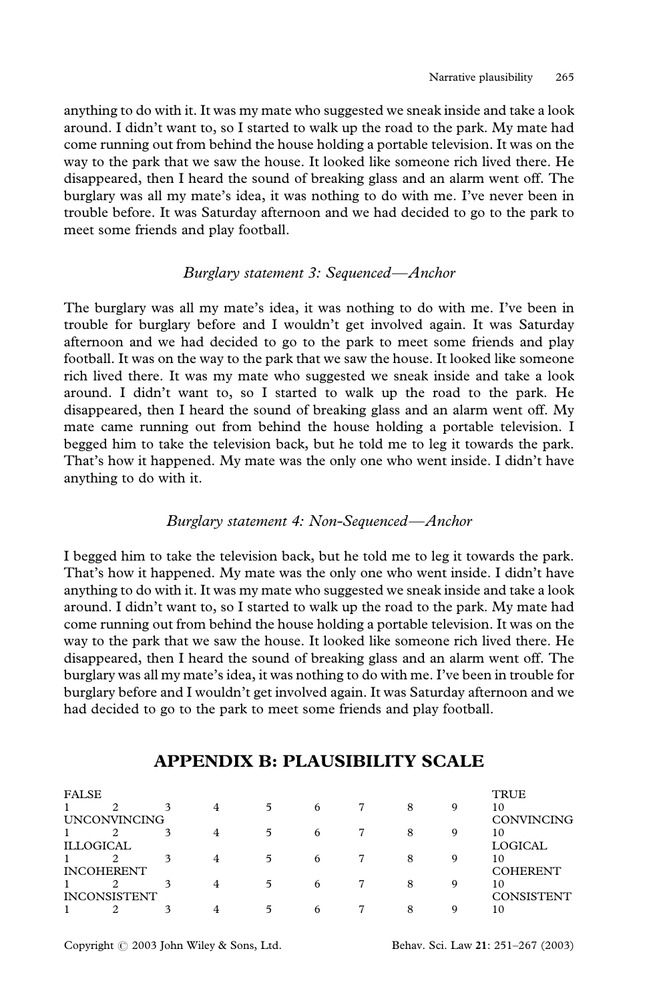anything to do with it. It was my mate who suggested we sneak inside and take a look around. I didn't want to, so I started to walk up the road to the park. My mate had come running out from behind the house holding a portable television. It was on the way to the park that we saw the house. It looked like someone rich lived there. He disappeared, then I heard the sound of breaking glass and an alarm went off. The burglary was all my mate's idea, it was nothing to do with me. I've never been in trouble before. It was Saturday afternoon and we had decided to go to the park to meet some friends and play football.

## *Burglary statement 3: Sequenced—Anchor*

The burglary was all my mate's idea, it was nothing to do with me. I've been in trouble for burglary before and I wouldn't get involved again. It was Saturday afternoon and we had decided to go to the park to meet some friends and play football. It was on the way to the park that we saw the house. It looked like someone rich lived there. It was my mate who suggested we sneak inside and take a look around. I didn't want to, so I started to walk up the road to the park. He disappeared, then I heard the sound of breaking glass and an alarm went off. My mate came running out from behind the house holding a portable television. I begged him to take the television back, but he told me to leg it towards the park. That's how it happened. My mate was the only one who went inside. I didn't have anything to do with it.

#### *Burglary statement 4: Non-Sequenced—Anchor*

I begged him to take the television back, but he told me to leg it towards the park. That's how it happened. My mate was the only one who went inside. I didn't have anything to do with it. It was my mate who suggested we sneak inside and take a look around. I didn't want to, so I started to walk up the road to the park. My mate had come running out from behind the house holding a portable television. It was on the way to the park that we saw the house. It looked like someone rich lived there. He disappeared, then I heard the sound of breaking glass and an alarm went off. The burglary was all my mate's idea, it was nothing to do with me. I've been in trouble for burglary before and I wouldn't get involved again. It was Saturday afternoon and we had decided to go to the park to meet some friends and play football.

| <b>FALSE</b> |                     |   |   |    |   |   |   | <b>TRUE</b>       |
|--------------|---------------------|---|---|----|---|---|---|-------------------|
|              |                     |   | 4 | 5  | 6 | 8 | 9 | 10                |
|              | UNCONVINCING        |   |   |    |   |   |   | <b>CONVINCING</b> |
|              |                     | 3 | 4 | 5. | 6 | 8 | 9 | 10                |
|              | <b>ILLOGICAL</b>    |   |   |    |   |   |   | <b>LOGICAL</b>    |
|              | っ                   | 3 | 4 | 5. | 6 | 8 | 9 | 10                |
|              | <b>INCOHERENT</b>   |   |   |    |   |   |   | <b>COHERENT</b>   |
|              | ◠                   |   | 4 | 5  | 6 | 8 | 9 | 10                |
|              | <b>INCONSISTENT</b> |   |   |    |   |   |   | <b>CONSISTENT</b> |
|              | ◠                   |   |   | 5  | 6 | 8 | a | 10                |
|              |                     |   |   |    |   |   |   |                   |

# APPENDIX B: PLAUSIBILITY SCALE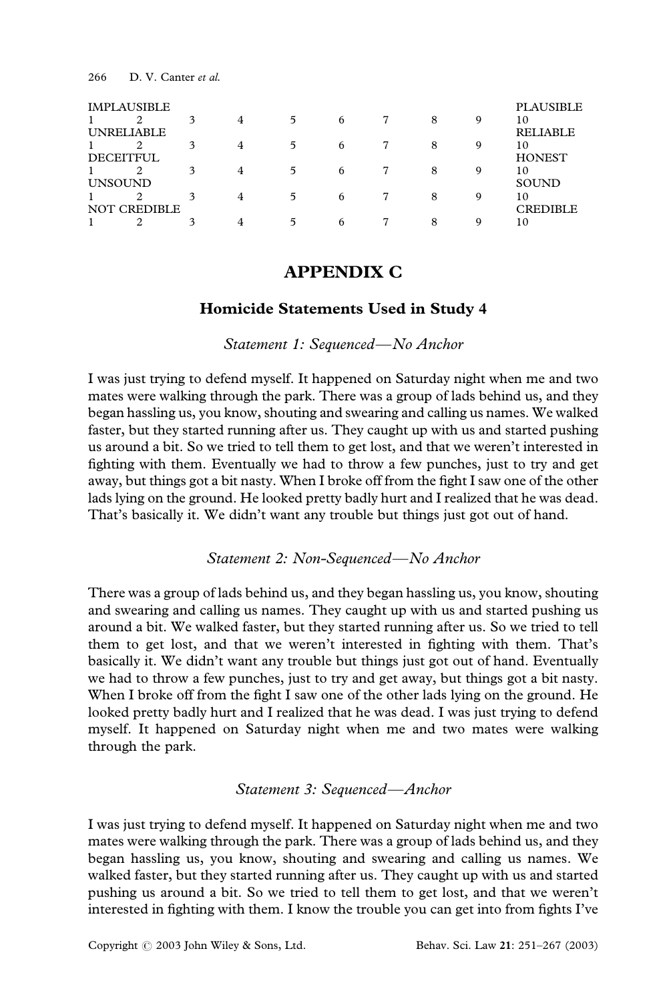| <b>IMPLAUSIBLE</b>     |   |   |   |   |   |   | PLAUSIBLE             |
|------------------------|---|---|---|---|---|---|-----------------------|
| <b>UNRELIABLE</b>      | 3 | 4 | 5 | 6 | 8 | 9 | 10<br><b>RELIABLE</b> |
| 2.<br><b>DECEITFUL</b> | 3 | 4 | 5 | 6 | 8 | 9 | 10<br><b>HONEST</b>   |
| <b>UNSOUND</b>         | 3 | 4 | 5 | 6 | 8 | 9 | 10<br>SOUND           |
| <b>NOT CREDIBLE</b>    | 3 | 4 | 5 | 6 | 8 | 9 | 10<br><b>CREDIBLE</b> |
|                        | 3 | 4 | 5 | 6 | 8 | Q | 10                    |

# APPENDIX C

# Homicide Statements Used in Study 4

## *Statement 1: Sequenced—No Anchor*

I was just trying to defend myself. It happened on Saturday night when me and two mates were walking through the park. There was a group of lads behind us, and they began hassling us, you know, shouting and swearing and calling us names. We walked faster, but they started running after us. They caught up with us and started pushing us around a bit. So we tried to tell them to get lost, and that we weren't interested in fighting with them. Eventually we had to throw a few punches, just to try and get away, but things got a bit nasty. When I broke off from the fight I saw one of the other lads lying on the ground. He looked pretty badly hurt and I realized that he was dead. That's basically it. We didn't want any trouble but things just got out of hand.

*Statement 2: Non-Sequenced—No Anchor*

There was a group of lads behind us, and they began hassling us, you know, shouting and swearing and calling us names. They caught up with us and started pushing us around a bit. We walked faster, but they started running after us. So we tried to tell them to get lost, and that we weren't interested in fighting with them. That's basically it. We didn't want any trouble but things just got out of hand. Eventually we had to throw a few punches, just to try and get away, but things got a bit nasty. When I broke off from the fight I saw one of the other lads lying on the ground. He looked pretty badly hurt and I realized that he was dead. I was just trying to defend myself. It happened on Saturday night when me and two mates were walking through the park.

# *Statement 3: Sequenced—Anchor*

I was just trying to defend myself. It happened on Saturday night when me and two mates were walking through the park. There was a group of lads behind us, and they began hassling us, you know, shouting and swearing and calling us names. We walked faster, but they started running after us. They caught up with us and started pushing us around a bit. So we tried to tell them to get lost, and that we weren't interested in fighting with them. I know the trouble you can get into from fights I've